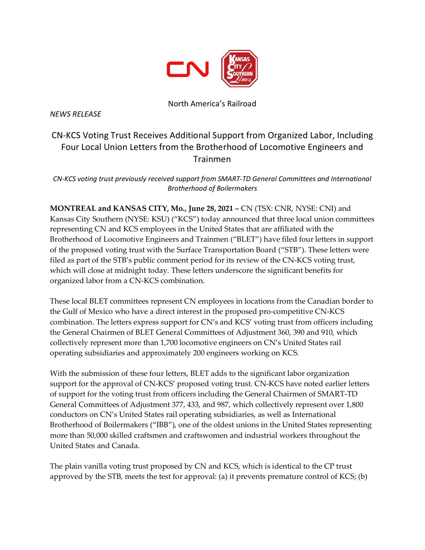

# North America's Railroad

*NEWS RELEASE*

# CN-KCS Voting Trust Receives Additional Support from Organized Labor, Including Four Local Union Letters from the Brotherhood of Locomotive Engineers and Trainmen

*CN-KCS voting trust previously received support from SMART-TD General Committees and International Brotherhood of Boilermakers*

**MONTREAL and KANSAS CITY, Mo., June 28, 2021 –** CN (TSX: CNR, NYSE: CNI) and Kansas City Southern (NYSE: KSU) ("KCS") today announced that three local union committees representing CN and KCS employees in the United States that are affiliated with the Brotherhood of Locomotive Engineers and Trainmen ("BLET") have filed four letters in support of the proposed voting trust with the Surface Transportation Board ("STB"). These letters were filed as part of the STB's public comment period for its review of the CN-KCS voting trust, which will close at midnight today. These letters underscore the significant benefits for organized labor from a CN-KCS combination.

These local BLET committees represent CN employees in locations from the Canadian border to the Gulf of Mexico who have a direct interest in the proposed pro-competitive CN-KCS combination. The letters express support for CN's and KCS' voting trust from officers including the General Chairmen of BLET General Committees of Adjustment 360, 390 and 910, which collectively represent more than 1,700 locomotive engineers on CN's United States rail operating subsidiaries and approximately 200 engineers working on KCS.

With the submission of these four letters, BLET adds to the significant labor organization support for the approval of CN-KCS' proposed voting trust. CN-KCS have noted earlier letters of support for the voting trust from officers including the General Chairmen of SMART-TD General Committees of Adjustment 377, 433, and 987, which collectively represent over 1,800 conductors on CN's United States rail operating subsidiaries, as well as International Brotherhood of Boilermakers ("IBB"), one of the oldest unions in the United States representing more than 50,000 skilled craftsmen and craftswomen and industrial workers throughout the United States and Canada.

The plain vanilla voting trust proposed by CN and KCS, which is identical to the CP trust approved by the STB, meets the test for approval: (a) it prevents premature control of KCS; (b)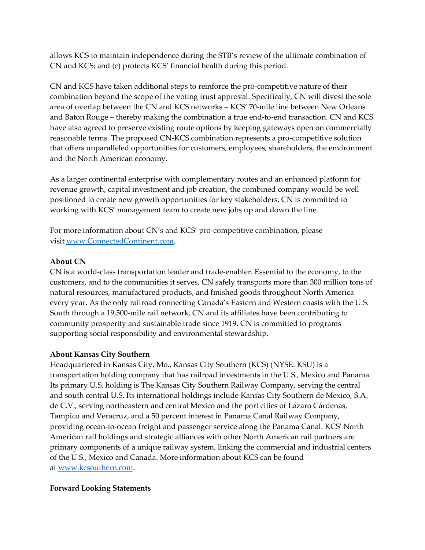allows KCS to maintain independence during the STB's review of the ultimate combination of CN and KCS; and (c) protects KCS' financial health during this period.

CN and KCS have taken additional steps to reinforce the pro-competitive nature of their combination beyond the scope of the voting trust approval. Specifically, CN will divest the sole area of overlap between the CN and KCS networks – KCS' 70-mile line between New Orleans and Baton Rouge – thereby making the combination a true end-to-end transaction. CN and KCS have also agreed to preserve existing route options by keeping gateways open on commercially reasonable terms. The proposed CN-KCS combination represents a pro-competitive solution that offers unparalleled opportunities for customers, employees, shareholders, the environment and the North American economy.

As a larger continental enterprise with complementary routes and an enhanced platform for revenue growth, capital investment and job creation, the combined company would be well positioned to create new growth opportunities for key stakeholders. CN is committed to working with KCS' management team to create new jobs up and down the line.

For more information about CN's and KCS' pro-competitive combination, please visit [www.ConnectedContinent.com.](https://www.globenewswire.com/Tracker?data=9OsEqPlmhh8tsCm7fCuvhJRRr9e0eeDYOzfb9SFXzqeu3ci2BSD9wdUiSwv8CC2X3SUiyw3uD1y1MRCPpuHD4D2lNeGykU719wRfJk0YABoT3EZkMhUvmIel9-diS8yv)

# **About CN**

CN is a world-class transportation leader and trade-enabler. Essential to the economy, to the customers, and to the communities it serves, CN safely transports more than 300 million tons of natural resources, manufactured products, and finished goods throughout North America every year. As the only railroad connecting Canada's Eastern and Western coasts with the U.S. South through a 19,500-mile rail network, CN and its affiliates have been contributing to community prosperity and sustainable trade since 1919. CN is committed to programs supporting social responsibility and environmental stewardship.

# **About Kansas City Southern**

Headquartered in Kansas City, Mo., Kansas City Southern (KCS) (NYSE: KSU) is a transportation holding company that has railroad investments in the U.S., Mexico and Panama. Its primary U.S. holding is The Kansas City Southern Railway Company, serving the central and south central U.S. Its international holdings include Kansas City Southern de Mexico, S.A. de C.V., serving northeastern and central Mexico and the port cities of Lázaro Cárdenas, Tampico and Veracruz, and a 50 percent interest in Panama Canal Railway Company, providing ocean-to-ocean freight and passenger service along the Panama Canal. KCS' North American rail holdings and strategic alliances with other North American rail partners are primary components of a unique railway system, linking the commercial and industrial centers of the U.S., Mexico and Canada. More information about KCS can be found at [www.kcsouthern.com.](https://www.globenewswire.com/Tracker?data=CJLjZWkvYgrdr7peArZP8vac1U8vHW4lLEFcV48eMPSZU7C30aWtjKrkptuBS5UGzTtijThVtErud6oTuJajXViKy9wC2-6fV4XZRNQZlow=)

# **Forward Looking Statements**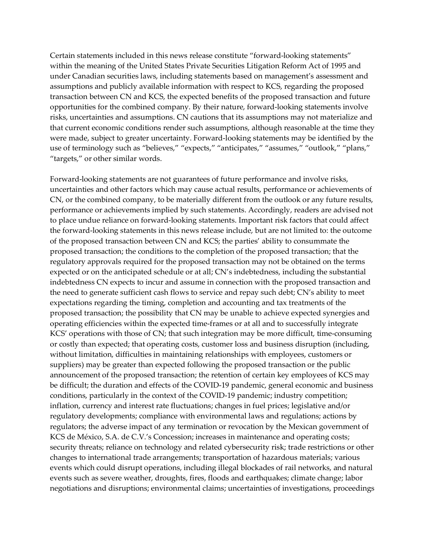Certain statements included in this news release constitute "forward-looking statements" within the meaning of the United States Private Securities Litigation Reform Act of 1995 and under Canadian securities laws, including statements based on management's assessment and assumptions and publicly available information with respect to KCS, regarding the proposed transaction between CN and KCS, the expected benefits of the proposed transaction and future opportunities for the combined company. By their nature, forward-looking statements involve risks, uncertainties and assumptions. CN cautions that its assumptions may not materialize and that current economic conditions render such assumptions, although reasonable at the time they were made, subject to greater uncertainty. Forward-looking statements may be identified by the use of terminology such as "believes," "expects," "anticipates," "assumes," "outlook," "plans," "targets," or other similar words.

Forward-looking statements are not guarantees of future performance and involve risks, uncertainties and other factors which may cause actual results, performance or achievements of CN, or the combined company, to be materially different from the outlook or any future results, performance or achievements implied by such statements. Accordingly, readers are advised not to place undue reliance on forward-looking statements. Important risk factors that could affect the forward-looking statements in this news release include, but are not limited to: the outcome of the proposed transaction between CN and KCS; the parties' ability to consummate the proposed transaction; the conditions to the completion of the proposed transaction; that the regulatory approvals required for the proposed transaction may not be obtained on the terms expected or on the anticipated schedule or at all; CN's indebtedness, including the substantial indebtedness CN expects to incur and assume in connection with the proposed transaction and the need to generate sufficient cash flows to service and repay such debt; CN's ability to meet expectations regarding the timing, completion and accounting and tax treatments of the proposed transaction; the possibility that CN may be unable to achieve expected synergies and operating efficiencies within the expected time-frames or at all and to successfully integrate KCS' operations with those of CN; that such integration may be more difficult, time-consuming or costly than expected; that operating costs, customer loss and business disruption (including, without limitation, difficulties in maintaining relationships with employees, customers or suppliers) may be greater than expected following the proposed transaction or the public announcement of the proposed transaction; the retention of certain key employees of KCS may be difficult; the duration and effects of the COVID-19 pandemic, general economic and business conditions, particularly in the context of the COVID-19 pandemic; industry competition; inflation, currency and interest rate fluctuations; changes in fuel prices; legislative and/or regulatory developments; compliance with environmental laws and regulations; actions by regulators; the adverse impact of any termination or revocation by the Mexican government of KCS de México, S.A. de C.V.'s Concession; increases in maintenance and operating costs; security threats; reliance on technology and related cybersecurity risk; trade restrictions or other changes to international trade arrangements; transportation of hazardous materials; various events which could disrupt operations, including illegal blockades of rail networks, and natural events such as severe weather, droughts, fires, floods and earthquakes; climate change; labor negotiations and disruptions; environmental claims; uncertainties of investigations, proceedings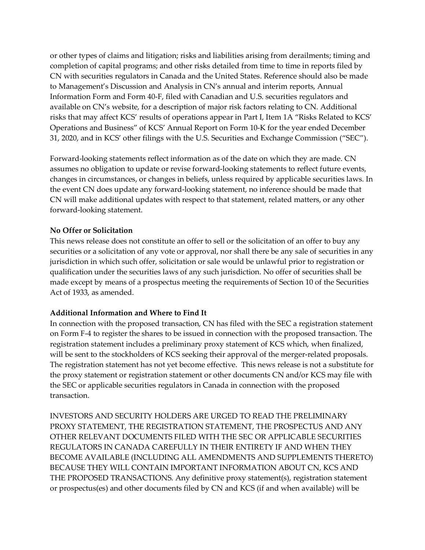or other types of claims and litigation; risks and liabilities arising from derailments; timing and completion of capital programs; and other risks detailed from time to time in reports filed by CN with securities regulators in Canada and the United States. Reference should also be made to Management's Discussion and Analysis in CN's annual and interim reports, Annual Information Form and Form 40-F, filed with Canadian and U.S. securities regulators and available on CN's website, for a description of major risk factors relating to CN. Additional risks that may affect KCS' results of operations appear in Part I, Item 1A "Risks Related to KCS' Operations and Business" of KCS' Annual Report on Form 10-K for the year ended December 31, 2020, and in KCS' other filings with the U.S. Securities and Exchange Commission ("SEC").

Forward-looking statements reflect information as of the date on which they are made. CN assumes no obligation to update or revise forward-looking statements to reflect future events, changes in circumstances, or changes in beliefs, unless required by applicable securities laws. In the event CN does update any forward-looking statement, no inference should be made that CN will make additional updates with respect to that statement, related matters, or any other forward-looking statement.

### **No Offer or Solicitation**

This news release does not constitute an offer to sell or the solicitation of an offer to buy any securities or a solicitation of any vote or approval, nor shall there be any sale of securities in any jurisdiction in which such offer, solicitation or sale would be unlawful prior to registration or qualification under the securities laws of any such jurisdiction. No offer of securities shall be made except by means of a prospectus meeting the requirements of Section 10 of the Securities Act of 1933, as amended.

### **Additional Information and Where to Find It**

In connection with the proposed transaction, CN has filed with the SEC a registration statement on Form F-4 to register the shares to be issued in connection with the proposed transaction. The registration statement includes a preliminary proxy statement of KCS which, when finalized, will be sent to the stockholders of KCS seeking their approval of the merger-related proposals. The registration statement has not yet become effective. This news release is not a substitute for the proxy statement or registration statement or other documents CN and/or KCS may file with the SEC or applicable securities regulators in Canada in connection with the proposed transaction.

INVESTORS AND SECURITY HOLDERS ARE URGED TO READ THE PRELIMINARY PROXY STATEMENT, THE REGISTRATION STATEMENT, THE PROSPECTUS AND ANY OTHER RELEVANT DOCUMENTS FILED WITH THE SEC OR APPLICABLE SECURITIES REGULATORS IN CANADA CAREFULLY IN THEIR ENTIRETY IF AND WHEN THEY BECOME AVAILABLE (INCLUDING ALL AMENDMENTS AND SUPPLEMENTS THERETO) BECAUSE THEY WILL CONTAIN IMPORTANT INFORMATION ABOUT CN, KCS AND THE PROPOSED TRANSACTIONS. Any definitive proxy statement(s), registration statement or prospectus(es) and other documents filed by CN and KCS (if and when available) will be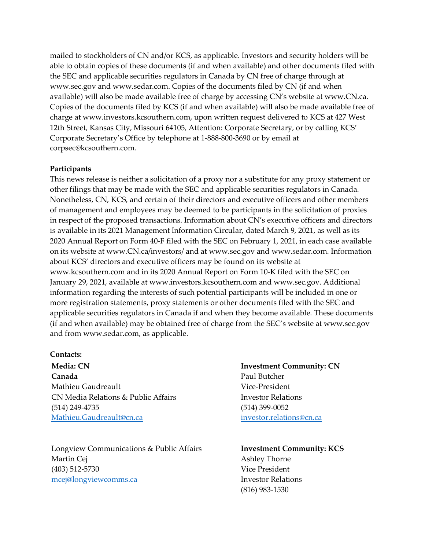mailed to stockholders of CN and/or KCS, as applicable. Investors and security holders will be able to obtain copies of these documents (if and when available) and other documents filed with the SEC and applicable securities regulators in Canada by CN free of charge through at www.sec.gov and www.sedar.com. Copies of the documents filed by CN (if and when available) will also be made available free of charge by accessing CN's website at www.CN.ca. Copies of the documents filed by KCS (if and when available) will also be made available free of charge at www.investors.kcsouthern.com, upon written request delivered to KCS at 427 West 12th Street, Kansas City, Missouri 64105, Attention: Corporate Secretary, or by calling KCS' Corporate Secretary's Office by telephone at 1-888-800-3690 or by email at corpsec@kcsouthern.com.

#### **Participants**

This news release is neither a solicitation of a proxy nor a substitute for any proxy statement or other filings that may be made with the SEC and applicable securities regulators in Canada. Nonetheless, CN, KCS, and certain of their directors and executive officers and other members of management and employees may be deemed to be participants in the solicitation of proxies in respect of the proposed transactions. Information about CN's executive officers and directors is available in its 2021 Management Information Circular, dated March 9, 2021, as well as its 2020 Annual Report on Form 40-F filed with the SEC on February 1, 2021, in each case available on its website at www.CN.ca/investors/ and at www.sec.gov and www.sedar.com. Information about KCS' directors and executive officers may be found on its website at www.kcsouthern.com and in its 2020 Annual Report on Form 10-K filed with the SEC on January 29, 2021, available at www.investors.kcsouthern.com and www.sec.gov. Additional information regarding the interests of such potential participants will be included in one or more registration statements, proxy statements or other documents filed with the SEC and applicable securities regulators in Canada if and when they become available. These documents (if and when available) may be obtained free of charge from the SEC's website at www.sec.gov and from www.sedar.com, as applicable.

#### **Contacts:**

**Media: CN Canada** Mathieu Gaudreault CN Media Relations & Public Affairs (514) 249-4735 [Mathieu.Gaudreault@cn.ca](mailto:Mathieu.Gaudreault@cn.ca)

Longview Communications & Public Affairs Martin Cej (403) 512-5730 [mcej@longviewcomms.ca](mailto:mcej@longviewcomms.ca)

### **Investment Community: CN**

Paul Butcher Vice-President Investor Relations (514) 399-0052 [investor.relations@cn.ca](mailto:investor.relations@cn.ca)

### **Investment Community: KCS**

Ashley Thorne Vice President Investor Relations (816) 983-1530